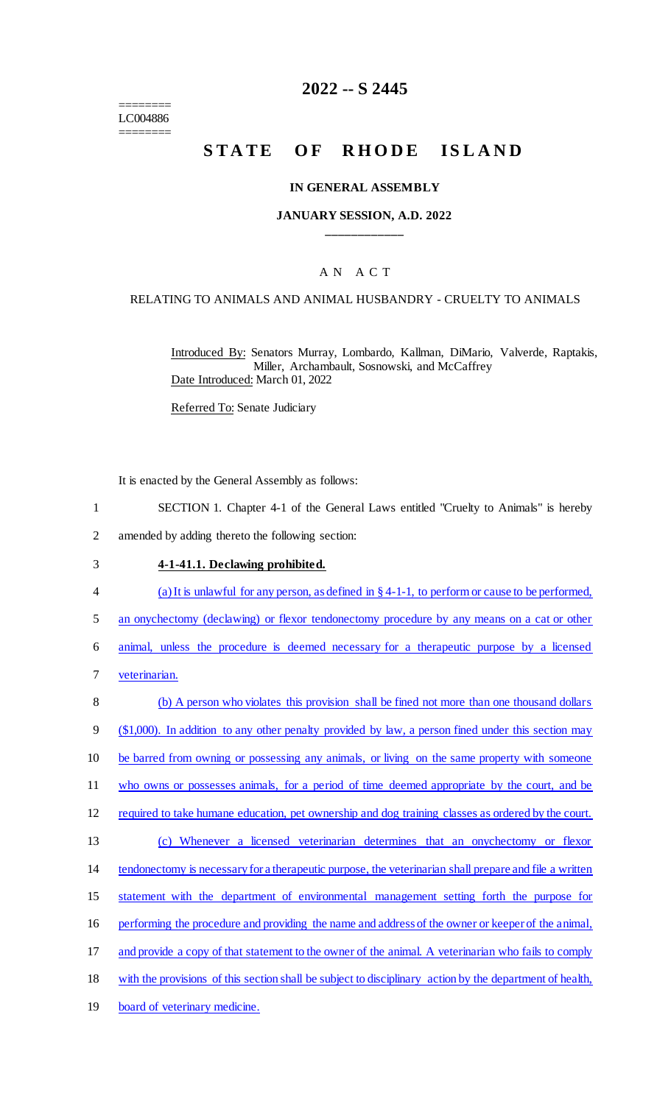======== LC004886 ========

# **2022 -- S 2445**

# **STATE OF RHODE ISLAND**

#### **IN GENERAL ASSEMBLY**

### **JANUARY SESSION, A.D. 2022 \_\_\_\_\_\_\_\_\_\_\_\_**

# A N A C T

### RELATING TO ANIMALS AND ANIMAL HUSBANDRY - CRUELTY TO ANIMALS

Introduced By: Senators Murray, Lombardo, Kallman, DiMario, Valverde, Raptakis, Miller, Archambault, Sosnowski, and McCaffrey Date Introduced: March 01, 2022

Referred To: Senate Judiciary

It is enacted by the General Assembly as follows:

- 1 SECTION 1. Chapter 4-1 of the General Laws entitled "Cruelty to Animals" is hereby
- 2 amended by adding thereto the following section:

### 3 **4-1-41.1. Declawing prohibited.**

- 4 (a) It is unlawful for any person, as defined in § 4-1-1, to perform or cause to be performed,
- 5 an onychectomy (declawing) or flexor tendonectomy procedure by any means on a cat or other

6 animal, unless the procedure is deemed necessary for a therapeutic purpose by a licensed

7 veterinarian.

| 8  | (b) A person who violates this provision shall be fined not more than one thousand dollars               |
|----|----------------------------------------------------------------------------------------------------------|
| 9  | $(\$1,000)$ . In addition to any other penalty provided by law, a person fined under this section may    |
| 10 | be barred from owning or possessing any animals, or living on the same property with someone             |
| 11 | who owns or possesses animals, for a period of time deemed appropriate by the court, and be              |
| 12 | required to take humane education, pet ownership and dog training classes as ordered by the court.       |
| 13 | Whenever a licensed veterinarian determines that an onychectomy or flexor<br>(c)                         |
| 14 | tendonectomy is necessary for a therapeutic purpose, the veterinarian shall prepare and file a written   |
| 15 | statement with the department of environmental management setting forth the purpose for                  |
| 16 | performing the procedure and providing the name and address of the owner or keeper of the animal,        |
| 17 | and provide a copy of that statement to the owner of the animal. A veterinarian who fails to comply      |
| 18 | with the provisions of this section shall be subject to disciplinary action by the department of health, |
| 19 | board of veterinary medicine.                                                                            |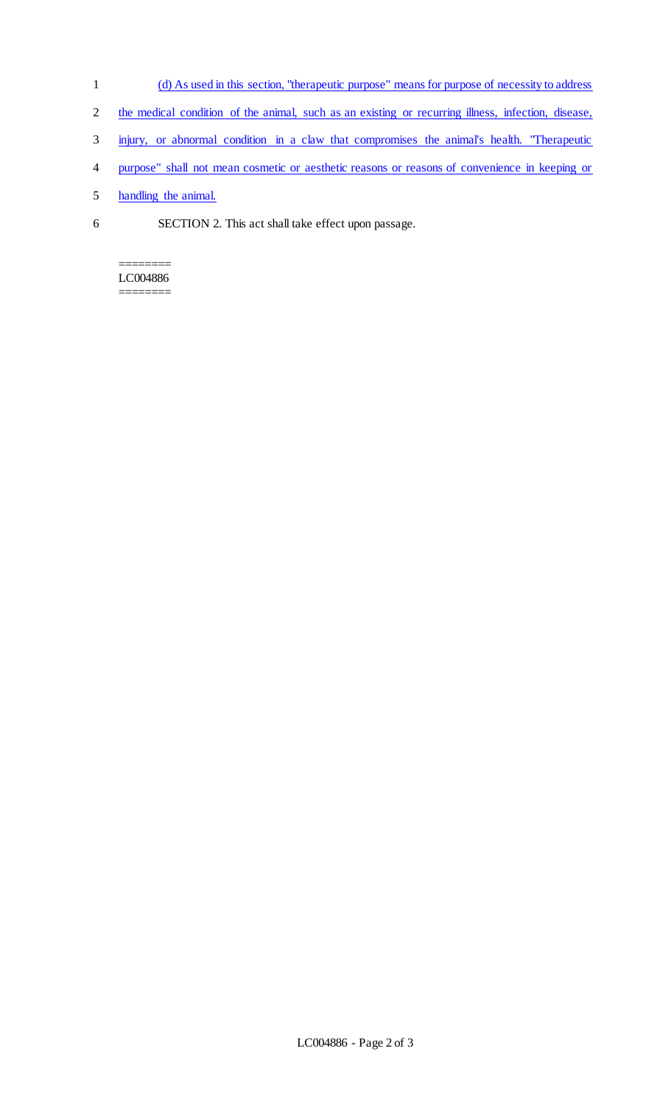- 1 (d) As used in this section, "therapeutic purpose" means for purpose of necessity to address
- 2 the medical condition of the animal, such as an existing or recurring illness, infection, disease,
- 3 injury, or abnormal condition in a claw that compromises the animal's health. "Therapeutic
- 4 purpose" shall not mean cosmetic or aesthetic reasons or reasons of convenience in keeping or
- 5 handling the animal.
- 6 SECTION 2. This act shall take effect upon passage.

#### ======== LC004886 ========